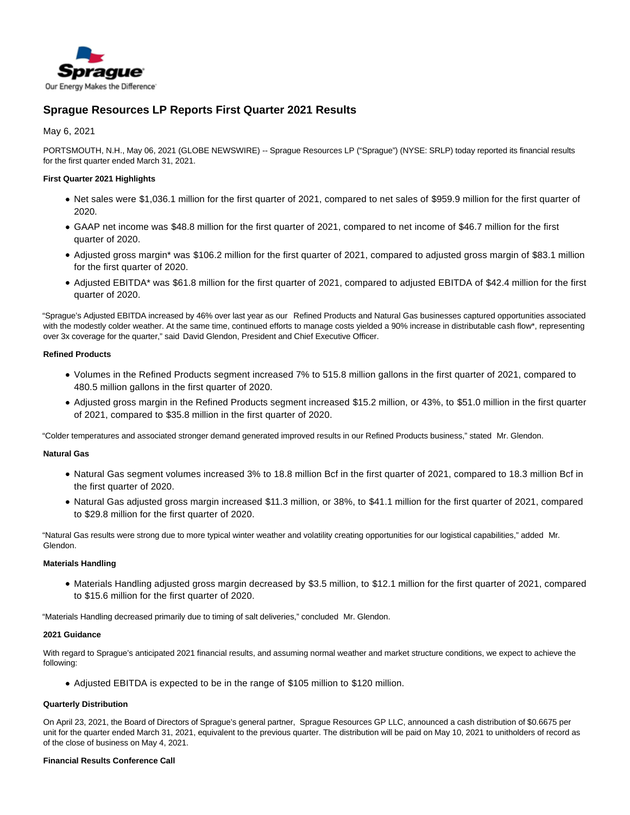

# **Sprague Resources LP Reports First Quarter 2021 Results**

May 6, 2021

PORTSMOUTH, N.H., May 06, 2021 (GLOBE NEWSWIRE) -- Sprague Resources LP ("Sprague") (NYSE: SRLP) today reported its financial results for the first quarter ended March 31, 2021.

## **First Quarter 2021 Highlights**

- Net sales were \$1,036.1 million for the first quarter of 2021, compared to net sales of \$959.9 million for the first quarter of 2020.
- GAAP net income was \$48.8 million for the first quarter of 2021, compared to net income of \$46.7 million for the first quarter of 2020.
- Adjusted gross margin\* was \$106.2 million for the first quarter of 2021, compared to adjusted gross margin of \$83.1 million for the first quarter of 2020.
- Adjusted EBITDA\* was \$61.8 million for the first quarter of 2021, compared to adjusted EBITDA of \$42.4 million for the first quarter of 2020.

"Sprague's Adjusted EBITDA increased by 46% over last year as our Refined Products and Natural Gas businesses captured opportunities associated with the modestly colder weather. At the same time, continued efforts to manage costs yielded a 90% increase in distributable cash flow\*, representing over 3x coverage for the quarter," said David Glendon, President and Chief Executive Officer.

## **Refined Products**

- Volumes in the Refined Products segment increased 7% to 515.8 million gallons in the first quarter of 2021, compared to 480.5 million gallons in the first quarter of 2020.
- Adjusted gross margin in the Refined Products segment increased \$15.2 million, or 43%, to \$51.0 million in the first quarter of 2021, compared to \$35.8 million in the first quarter of 2020.

"Colder temperatures and associated stronger demand generated improved results in our Refined Products business," stated Mr. Glendon.

## **Natural Gas**

- Natural Gas segment volumes increased 3% to 18.8 million Bcf in the first quarter of 2021, compared to 18.3 million Bcf in the first quarter of 2020.
- Natural Gas adjusted gross margin increased \$11.3 million, or 38%, to \$41.1 million for the first quarter of 2021, compared to \$29.8 million for the first quarter of 2020.

"Natural Gas results were strong due to more typical winter weather and volatility creating opportunities for our logistical capabilities," added Mr. Glendon.

#### **Materials Handling**

Materials Handling adjusted gross margin decreased by \$3.5 million, to \$12.1 million for the first quarter of 2021, compared to \$15.6 million for the first quarter of 2020.

"Materials Handling decreased primarily due to timing of salt deliveries," concluded Mr. Glendon.

#### **2021 Guidance**

With regard to Sprague's anticipated 2021 financial results, and assuming normal weather and market structure conditions, we expect to achieve the following:

Adjusted EBITDA is expected to be in the range of \$105 million to \$120 million.

## **Quarterly Distribution**

On April 23, 2021, the Board of Directors of Sprague's general partner, Sprague Resources GP LLC, announced a cash distribution of \$0.6675 per unit for the quarter ended March 31, 2021, equivalent to the previous quarter. The distribution will be paid on May 10, 2021 to unitholders of record as of the close of business on May 4, 2021.

## **Financial Results Conference Call**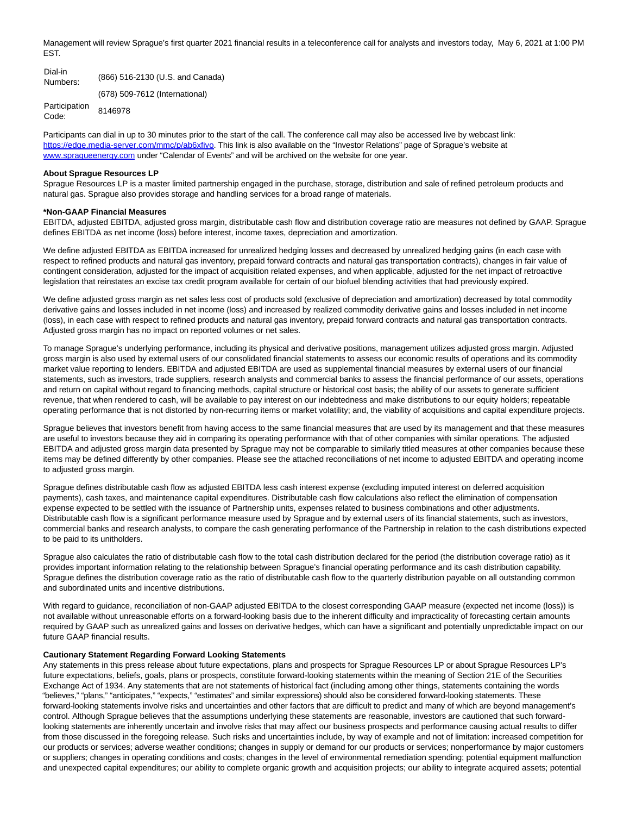Management will review Sprague's first quarter 2021 financial results in a teleconference call for analysts and investors today, May 6, 2021 at 1:00 PM EST.

Dial-in Diamin (866) 516-2130 (U.S. and Canada) (678) 509-7612 (International) Participation Code: 8146978

Participants can dial in up to 30 minutes prior to the start of the call. The conference call may also be accessed live by webcast link: [https://edge.media-server.com/mmc/p/ab6xfiyo.](https://edge.media-server.com/mmc/p/ab6xfiyo) This link is also available on the "Investor Relations" page of Sprague's website at [www.spragueenergy.com u](http://www.spragueenergy.com/)nder "Calendar of Events" and will be archived on the website for one year.

#### **About Sprague Resources LP**

Sprague Resources LP is a master limited partnership engaged in the purchase, storage, distribution and sale of refined petroleum products and natural gas. Sprague also provides storage and handling services for a broad range of materials.

#### **\*Non-GAAP Financial Measures**

EBITDA, adjusted EBITDA, adjusted gross margin, distributable cash flow and distribution coverage ratio are measures not defined by GAAP. Sprague defines EBITDA as net income (loss) before interest, income taxes, depreciation and amortization.

We define adjusted EBITDA as EBITDA increased for unrealized hedging losses and decreased by unrealized hedging gains (in each case with respect to refined products and natural gas inventory, prepaid forward contracts and natural gas transportation contracts), changes in fair value of contingent consideration, adjusted for the impact of acquisition related expenses, and when applicable, adjusted for the net impact of retroactive legislation that reinstates an excise tax credit program available for certain of our biofuel blending activities that had previously expired.

We define adjusted gross margin as net sales less cost of products sold (exclusive of depreciation and amortization) decreased by total commodity derivative gains and losses included in net income (loss) and increased by realized commodity derivative gains and losses included in net income (loss), in each case with respect to refined products and natural gas inventory, prepaid forward contracts and natural gas transportation contracts. Adjusted gross margin has no impact on reported volumes or net sales.

To manage Sprague's underlying performance, including its physical and derivative positions, management utilizes adjusted gross margin. Adjusted gross margin is also used by external users of our consolidated financial statements to assess our economic results of operations and its commodity market value reporting to lenders. EBITDA and adjusted EBITDA are used as supplemental financial measures by external users of our financial statements, such as investors, trade suppliers, research analysts and commercial banks to assess the financial performance of our assets, operations and return on capital without regard to financing methods, capital structure or historical cost basis; the ability of our assets to generate sufficient revenue, that when rendered to cash, will be available to pay interest on our indebtedness and make distributions to our equity holders; repeatable operating performance that is not distorted by non-recurring items or market volatility; and, the viability of acquisitions and capital expenditure projects.

Sprague believes that investors benefit from having access to the same financial measures that are used by its management and that these measures are useful to investors because they aid in comparing its operating performance with that of other companies with similar operations. The adjusted EBITDA and adjusted gross margin data presented by Sprague may not be comparable to similarly titled measures at other companies because these items may be defined differently by other companies. Please see the attached reconciliations of net income to adjusted EBITDA and operating income to adjusted gross margin.

Sprague defines distributable cash flow as adjusted EBITDA less cash interest expense (excluding imputed interest on deferred acquisition payments), cash taxes, and maintenance capital expenditures. Distributable cash flow calculations also reflect the elimination of compensation expense expected to be settled with the issuance of Partnership units, expenses related to business combinations and other adjustments. Distributable cash flow is a significant performance measure used by Sprague and by external users of its financial statements, such as investors, commercial banks and research analysts, to compare the cash generating performance of the Partnership in relation to the cash distributions expected to be paid to its unitholders.

Sprague also calculates the ratio of distributable cash flow to the total cash distribution declared for the period (the distribution coverage ratio) as it provides important information relating to the relationship between Sprague's financial operating performance and its cash distribution capability. Sprague defines the distribution coverage ratio as the ratio of distributable cash flow to the quarterly distribution payable on all outstanding common and subordinated units and incentive distributions.

With regard to guidance, reconciliation of non-GAAP adjusted EBITDA to the closest corresponding GAAP measure (expected net income (loss)) is not available without unreasonable efforts on a forward-looking basis due to the inherent difficulty and impracticality of forecasting certain amounts required by GAAP such as unrealized gains and losses on derivative hedges, which can have a significant and potentially unpredictable impact on our future GAAP financial results.

#### **Cautionary Statement Regarding Forward Looking Statements**

Any statements in this press release about future expectations, plans and prospects for Sprague Resources LP or about Sprague Resources LP's future expectations, beliefs, goals, plans or prospects, constitute forward-looking statements within the meaning of Section 21E of the Securities Exchange Act of 1934. Any statements that are not statements of historical fact (including among other things, statements containing the words "believes," "plans," "anticipates," "expects," "estimates" and similar expressions) should also be considered forward-looking statements. These forward-looking statements involve risks and uncertainties and other factors that are difficult to predict and many of which are beyond management's control. Although Sprague believes that the assumptions underlying these statements are reasonable, investors are cautioned that such forwardlooking statements are inherently uncertain and involve risks that may affect our business prospects and performance causing actual results to differ from those discussed in the foregoing release. Such risks and uncertainties include, by way of example and not of limitation: increased competition for our products or services; adverse weather conditions; changes in supply or demand for our products or services; nonperformance by major customers or suppliers; changes in operating conditions and costs; changes in the level of environmental remediation spending; potential equipment malfunction and unexpected capital expenditures; our ability to complete organic growth and acquisition projects; our ability to integrate acquired assets; potential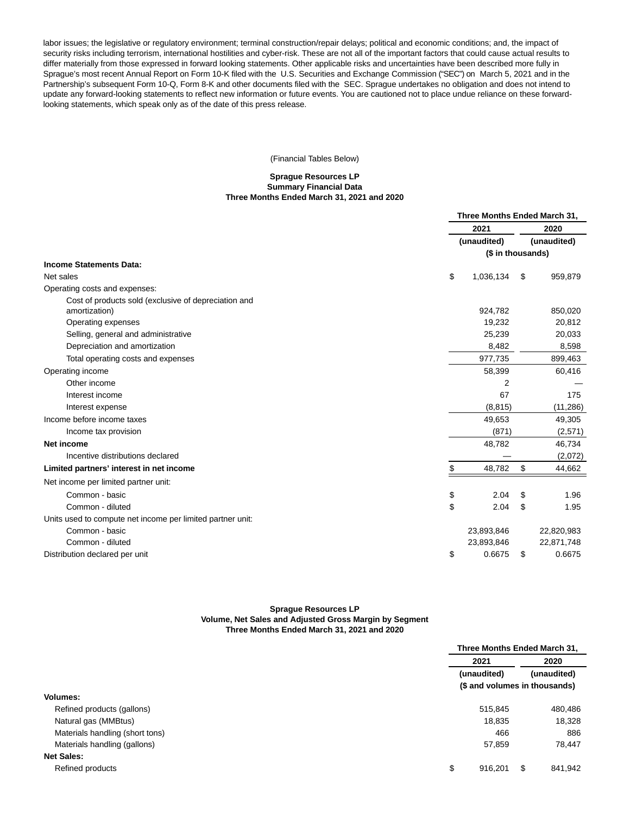labor issues; the legislative or regulatory environment; terminal construction/repair delays; political and economic conditions; and, the impact of security risks including terrorism, international hostilities and cyber-risk. These are not all of the important factors that could cause actual results to differ materially from those expressed in forward looking statements. Other applicable risks and uncertainties have been described more fully in Sprague's most recent Annual Report on Form 10-K filed with the U.S. Securities and Exchange Commission ("SEC") on March 5, 2021 and in the Partnership's subsequent Form 10-Q, Form 8-K and other documents filed with the SEC. Sprague undertakes no obligation and does not intend to update any forward-looking statements to reflect new information or future events. You are cautioned not to place undue reliance on these forwardlooking statements, which speak only as of the date of this press release.

(Financial Tables Below)

#### **Sprague Resources LP Summary Financial Data Three Months Ended March 31, 2021 and 2020**

|                                                            | Three Months Ended March 31, |    |             |  |
|------------------------------------------------------------|------------------------------|----|-------------|--|
|                                                            | 2021                         |    | 2020        |  |
|                                                            | (unaudited)                  |    | (unaudited) |  |
|                                                            | (\$ in thousands)            |    |             |  |
| <b>Income Statements Data:</b>                             |                              |    |             |  |
| Net sales                                                  | \$<br>1,036,134              | \$ | 959,879     |  |
| Operating costs and expenses:                              |                              |    |             |  |
| Cost of products sold (exclusive of depreciation and       |                              |    |             |  |
| amortization)                                              | 924,782                      |    | 850,020     |  |
| Operating expenses                                         | 19,232                       |    | 20,812      |  |
| Selling, general and administrative                        | 25,239                       |    | 20,033      |  |
| Depreciation and amortization                              | 8,482                        |    | 8,598       |  |
| Total operating costs and expenses                         | 977,735                      |    | 899,463     |  |
| Operating income                                           | 58,399                       |    | 60,416      |  |
| Other income                                               | $\overline{2}$               |    |             |  |
| Interest income                                            | 67                           |    | 175         |  |
| Interest expense                                           | (8, 815)                     |    | (11, 286)   |  |
| Income before income taxes                                 | 49,653                       |    | 49,305      |  |
| Income tax provision                                       | (871)                        |    | (2,571)     |  |
| Net income                                                 | 48,782                       |    | 46,734      |  |
| Incentive distributions declared                           |                              |    | (2,072)     |  |
| Limited partners' interest in net income                   | \$<br>48,782                 | \$ | 44,662      |  |
| Net income per limited partner unit:                       |                              |    |             |  |
| Common - basic                                             | \$<br>2.04                   | \$ | 1.96        |  |
| Common - diluted                                           | \$<br>2.04                   | \$ | 1.95        |  |
| Units used to compute net income per limited partner unit: |                              |    |             |  |
| Common - basic                                             | 23,893,846                   |    | 22,820,983  |  |
| Common - diluted                                           | 23,893,846                   |    | 22,871,748  |  |
| Distribution declared per unit                             | \$<br>0.6675                 | \$ | 0.6675      |  |
|                                                            |                              |    |             |  |

## **Sprague Resources LP Volume, Net Sales and Adjusted Gross Margin by Segment Three Months Ended March 31, 2021 and 2020**

|                                 |                               | Three Months Ended March 31, |                     |  |
|---------------------------------|-------------------------------|------------------------------|---------------------|--|
|                                 | 2021                          |                              | 2020<br>(unaudited) |  |
|                                 | (unaudited)                   |                              |                     |  |
|                                 | (\$ and volumes in thousands) |                              |                     |  |
| <b>Volumes:</b>                 |                               |                              |                     |  |
| Refined products (gallons)      | 515,845                       |                              | 480,486             |  |
| Natural gas (MMBtus)            |                               | 18,835                       | 18,328              |  |
| Materials handling (short tons) |                               | 466                          | 886                 |  |
| Materials handling (gallons)    |                               | 57,859                       | 78,447              |  |
| <b>Net Sales:</b>               |                               |                              |                     |  |
| Refined products                | \$<br>916,201                 | \$                           | 841,942             |  |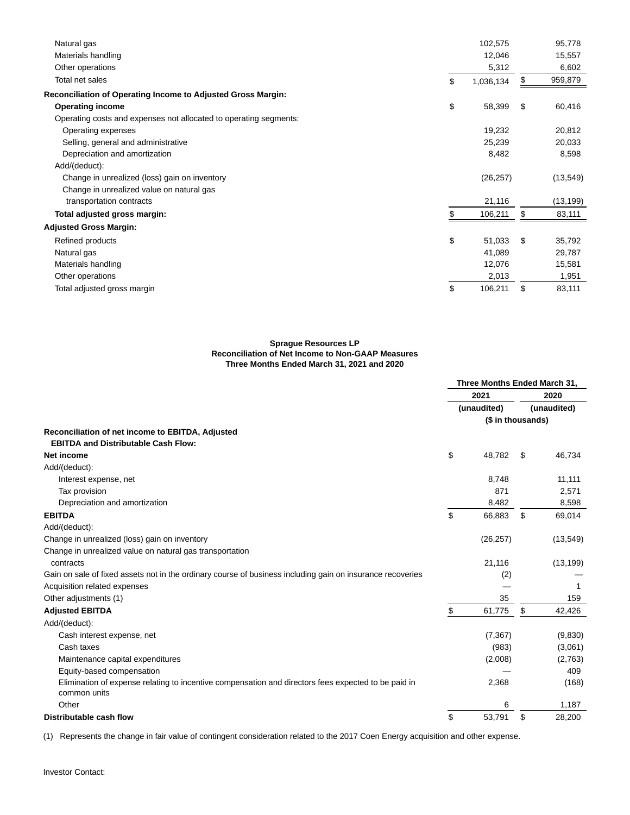| Natural gas                                                       | 102,575         | 95,778        |
|-------------------------------------------------------------------|-----------------|---------------|
| Materials handling                                                | 12,046          | 15,557        |
| Other operations                                                  | 5,312           | 6,602         |
| Total net sales                                                   | \$<br>1,036,134 | \$<br>959,879 |
| Reconciliation of Operating Income to Adjusted Gross Margin:      |                 |               |
| <b>Operating income</b>                                           | \$<br>58,399    | \$<br>60,416  |
| Operating costs and expenses not allocated to operating segments: |                 |               |
| Operating expenses                                                | 19,232          | 20,812        |
| Selling, general and administrative                               | 25,239          | 20,033        |
| Depreciation and amortization                                     | 8,482           | 8,598         |
| Add/(deduct):                                                     |                 |               |
| Change in unrealized (loss) gain on inventory                     | (26, 257)       | (13, 549)     |
| Change in unrealized value on natural gas                         |                 |               |
| transportation contracts                                          | 21,116          | (13, 199)     |
| Total adjusted gross margin:                                      | 106,211         | \$<br>83,111  |
| <b>Adjusted Gross Margin:</b>                                     |                 |               |
| Refined products                                                  | \$<br>51,033    | \$<br>35,792  |
| Natural gas                                                       | 41,089          | 29,787        |
| Materials handling                                                | 12,076          | 15,581        |
| Other operations                                                  | 2,013           | 1,951         |
| Total adjusted gross margin                                       | \$<br>106,211   | \$<br>83,111  |
|                                                                   |                 |               |

## **Sprague Resources LP Reconciliation of Net Income to Non-GAAP Measures Three Months Ended March 31, 2021 and 2020**

|                                                                                                                     | Three Months Ended March 31, |           |                     |           |
|---------------------------------------------------------------------------------------------------------------------|------------------------------|-----------|---------------------|-----------|
|                                                                                                                     | 2021<br>(unaudited)          |           | 2020<br>(unaudited) |           |
|                                                                                                                     |                              |           |                     |           |
|                                                                                                                     |                              |           | (\$ in thousands)   |           |
| Reconciliation of net income to EBITDA, Adjusted                                                                    |                              |           |                     |           |
| <b>EBITDA and Distributable Cash Flow:</b>                                                                          |                              |           |                     |           |
| Net income                                                                                                          | \$                           | 48,782    | \$                  | 46,734    |
| Add/(deduct):                                                                                                       |                              |           |                     |           |
| Interest expense, net                                                                                               |                              | 8,748     |                     | 11,111    |
| Tax provision                                                                                                       |                              | 871       |                     | 2,571     |
| Depreciation and amortization                                                                                       |                              | 8,482     |                     | 8,598     |
| <b>EBITDA</b>                                                                                                       | \$                           | 66,883    | \$                  | 69,014    |
| Add/(deduct):                                                                                                       |                              |           |                     |           |
| Change in unrealized (loss) gain on inventory                                                                       |                              | (26, 257) |                     | (13, 549) |
| Change in unrealized value on natural gas transportation                                                            |                              |           |                     |           |
| contracts                                                                                                           |                              | 21,116    |                     | (13, 199) |
| Gain on sale of fixed assets not in the ordinary course of business including gain on insurance recoveries          |                              | (2)       |                     |           |
| Acquisition related expenses                                                                                        |                              |           |                     |           |
| Other adjustments (1)                                                                                               |                              | 35        |                     | 159       |
| <b>Adjusted EBITDA</b>                                                                                              | \$                           | 61,775    | \$                  | 42,426    |
| Add/(deduct):                                                                                                       |                              |           |                     |           |
| Cash interest expense, net                                                                                          |                              | (7, 367)  |                     | (9,830)   |
| Cash taxes                                                                                                          |                              | (983)     |                     | (3,061)   |
| Maintenance capital expenditures                                                                                    |                              | (2,008)   |                     | (2,763)   |
| Equity-based compensation                                                                                           |                              |           |                     | 409       |
| Elimination of expense relating to incentive compensation and directors fees expected to be paid in<br>common units |                              | 2,368     |                     | (168)     |
| Other                                                                                                               |                              | 6         |                     | 1,187     |
| Distributable cash flow                                                                                             | \$                           | 53,791    | \$                  | 28,200    |

(1) Represents the change in fair value of contingent consideration related to the 2017 Coen Energy acquisition and other expense.